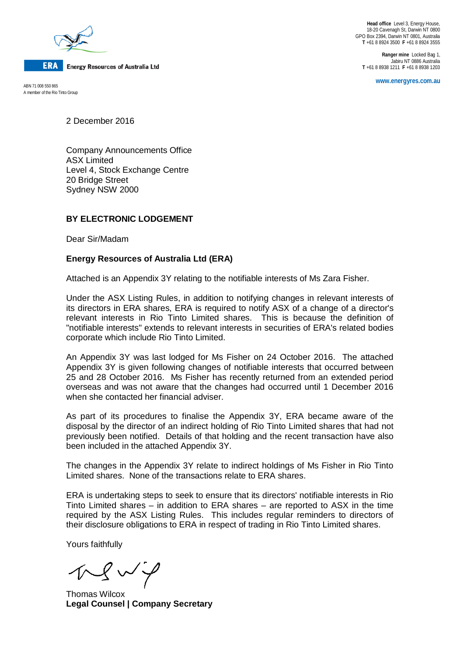

**ERA Energy Resources of Australia Ltd** 

A member of the Rio Tinto Group

**Head office** Level 3, Energy House, 18-20 Cavenagh St, Darwin NT 0800 GPO Box 2394, Darwin NT 0801, Australia **T** +61 8 8924 3500 **F** +61 8 8924 3555

**Ranger mine** Locked Bag 1, Jabiru NT 0886 Australia **T** +61 8 8938 1211 **F** +61 8 8938 1203

**www.energyres.com.au** ABN 71 008 550 865

2 December 2016

Company Announcements Office ASX Limited Level 4, Stock Exchange Centre 20 Bridge Street Sydney NSW 2000

## **BY ELECTRONIC LODGEMENT**

Dear Sir/Madam

## **Energy Resources of Australia Ltd (ERA)**

Attached is an Appendix 3Y relating to the notifiable interests of Ms Zara Fisher.

Under the ASX Listing Rules, in addition to notifying changes in relevant interests of its directors in ERA shares, ERA is required to notify ASX of a change of a director's relevant interests in Rio Tinto Limited shares. This is because the definition of "notifiable interests" extends to relevant interests in securities of ERA's related bodies corporate which include Rio Tinto Limited.

An Appendix 3Y was last lodged for Ms Fisher on 24 October 2016. The attached Appendix 3Y is given following changes of notifiable interests that occurred between 25 and 28 October 2016. Ms Fisher has recently returned from an extended period overseas and was not aware that the changes had occurred until 1 December 2016 when she contacted her financial adviser.

As part of its procedures to finalise the Appendix 3Y, ERA became aware of the disposal by the director of an indirect holding of Rio Tinto Limited shares that had not previously been notified. Details of that holding and the recent transaction have also been included in the attached Appendix 3Y.

The changes in the Appendix 3Y relate to indirect holdings of Ms Fisher in Rio Tinto Limited shares. None of the transactions relate to ERA shares.

ERA is undertaking steps to seek to ensure that its directors' notifiable interests in Rio Tinto Limited shares – in addition to ERA shares – are reported to ASX in the time required by the ASX Listing Rules. This includes regular reminders to directors of their disclosure obligations to ERA in respect of trading in Rio Tinto Limited shares.

Yours faithfully

 $N \times V$ 

Thomas Wilcox **Legal Counsel | Company Secretary**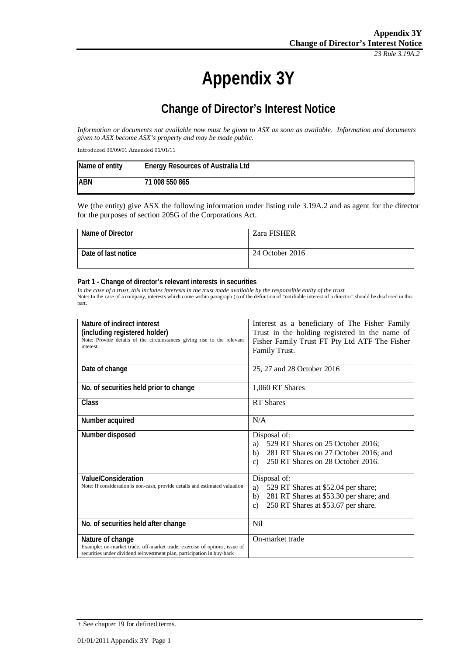*23 Rule 3.19A.2*

# **Appendix 3Y**

# **Change of Director's Interest Notice**

*Information or documents not available now must be given to ASX as soon as available. Information and documents given to ASX become ASX's property and may be made public.*

Introduced 30/09/01 Amended 01/01/11

| Name of entity | <b>Energy Resources of Australia Ltd</b> |
|----------------|------------------------------------------|
| <b>ABN</b>     | 71 008 550 865                           |

We (the entity) give ASX the following information under listing rule 3.19A.2 and as agent for the director for the purposes of section 205G of the Corporations Act.

| Name of Director    | <b>Zara FISHER</b> |
|---------------------|--------------------|
| Date of last notice | 24 October 2016    |

#### **Part 1 - Change of director's relevant interests in securities**

*In the case of a trust, this includes interests in the trust made available by the responsible entity of the trust* Note: In the case of a company, interests which come within paragraph (i) of the definition of "notifiable interest of a director" should be disclosed in this part.

| Nature of indirect interest                                                 | Interest as a beneficiary of The Fisher Family      |
|-----------------------------------------------------------------------------|-----------------------------------------------------|
| (including registered holder)                                               | Trust in the holding registered in the name of      |
| Note: Provide details of the circumstances giving rise to the relevant      | Fisher Family Trust FT Pty Ltd ATF The Fisher       |
| interest.                                                                   | Family Trust.                                       |
|                                                                             |                                                     |
| Date of change                                                              | 25, 27 and 28 October 2016                          |
|                                                                             |                                                     |
| No. of securities held prior to change                                      | 1,060 RT Shares                                     |
|                                                                             |                                                     |
| <b>Class</b>                                                                | <b>RT</b> Shares                                    |
|                                                                             |                                                     |
| Number acquired                                                             | N/A                                                 |
| Number disposed                                                             | Disposal of:                                        |
|                                                                             | a) 529 RT Shares on 25 October 2016;                |
|                                                                             | 281 RT Shares on 27 October 2016; and<br>b)         |
|                                                                             | 250 RT Shares on 28 October 2016.<br>$\mathbf{c}$   |
|                                                                             |                                                     |
| <b>Value/Consideration</b>                                                  | Disposal of:                                        |
| Note: If consideration is non-cash, provide details and estimated valuation | 529 RT Shares at \$52.04 per share;<br>a)           |
|                                                                             | 281 RT Shares at \$53.30 per share; and<br>b)       |
|                                                                             | 250 RT Shares at \$53.67 per share.<br>$\mathbf{c}$ |
|                                                                             |                                                     |
| No. of securities held after change                                         | N <sub>i</sub>                                      |
|                                                                             |                                                     |
| Nature of change                                                            | On-market trade                                     |
| Example: on-market trade, off-market trade, exercise of options, issue of   |                                                     |
| securities under dividend reinvestment plan, participation in buy-back      |                                                     |

<sup>+</sup> See chapter 19 for defined terms.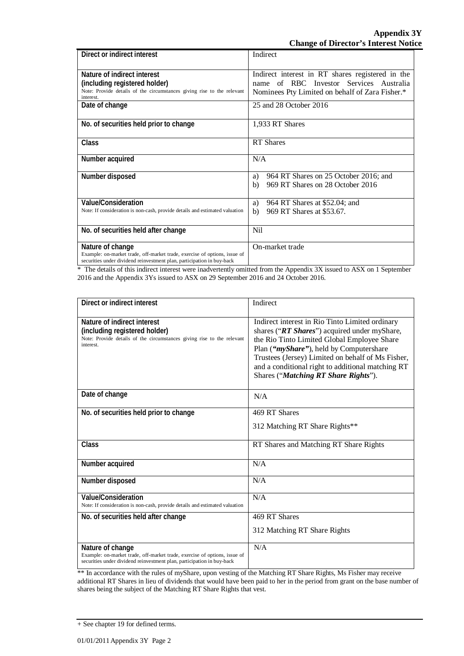| Direct or indirect interest                                                                                                                         | Indirect                                         |
|-----------------------------------------------------------------------------------------------------------------------------------------------------|--------------------------------------------------|
|                                                                                                                                                     |                                                  |
| Nature of indirect interest                                                                                                                         | Indirect interest in RT shares registered in the |
| (including registered holder)                                                                                                                       | of RBC Investor Services Australia<br>name       |
| Note: Provide details of the circumstances giving rise to the relevant<br>interest.                                                                 | Nominees Pty Limited on behalf of Zara Fisher.*  |
| Date of change                                                                                                                                      | 25 and 28 October 2016                           |
| No. of securities held prior to change                                                                                                              | 1,933 RT Shares                                  |
| Class                                                                                                                                               | <b>RT</b> Shares                                 |
| Number acquired                                                                                                                                     | N/A                                              |
| Number disposed                                                                                                                                     | 964 RT Shares on 25 October 2016; and<br>a)      |
|                                                                                                                                                     | 969 RT Shares on 28 October 2016<br>b)           |
| <b>Value/Consideration</b>                                                                                                                          | 964 RT Shares at \$52.04; and<br>a)              |
| Note: If consideration is non-cash, provide details and estimated valuation                                                                         | 969 RT Shares at \$53.67.<br>b)                  |
| No. of securities held after change                                                                                                                 | Nil                                              |
| Nature of change                                                                                                                                    | On-market trade                                  |
| Example: on-market trade, off-market trade, exercise of options, issue of<br>securities under dividend reinvestment plan, participation in buy-back |                                                  |

\* The details of this indirect interest were inadvertently omitted from the Appendix 3X issued to ASX on 1 September 2016 and the Appendix 3Ys issued to ASX on 29 September 2016 and 24 October 2016.

| Direct or indirect interest                                                                                                                                             | Indirect                                                                                                                                                                                                                                                                                                                                    |
|-------------------------------------------------------------------------------------------------------------------------------------------------------------------------|---------------------------------------------------------------------------------------------------------------------------------------------------------------------------------------------------------------------------------------------------------------------------------------------------------------------------------------------|
| Nature of indirect interest<br>(including registered holder)<br>Note: Provide details of the circumstances giving rise to the relevant<br>interest.                     | Indirect interest in Rio Tinto Limited ordinary<br>shares ("RT Shares") acquired under myShare,<br>the Rio Tinto Limited Global Employee Share<br>Plan ("myShare"), held by Computershare<br>Trustees (Jersey) Limited on behalf of Ms Fisher,<br>and a conditional right to additional matching RT<br>Shares ("Matching RT Share Rights"). |
| Date of change                                                                                                                                                          | N/A                                                                                                                                                                                                                                                                                                                                         |
| No. of securities held prior to change                                                                                                                                  | 469 RT Shares<br>312 Matching RT Share Rights**                                                                                                                                                                                                                                                                                             |
| Class                                                                                                                                                                   | RT Shares and Matching RT Share Rights                                                                                                                                                                                                                                                                                                      |
| Number acquired                                                                                                                                                         | N/A                                                                                                                                                                                                                                                                                                                                         |
| Number disposed                                                                                                                                                         | N/A                                                                                                                                                                                                                                                                                                                                         |
| <b>Value/Consideration</b><br>Note: If consideration is non-cash, provide details and estimated valuation                                                               | N/A                                                                                                                                                                                                                                                                                                                                         |
| No. of securities held after change                                                                                                                                     | 469 RT Shares<br>312 Matching RT Share Rights                                                                                                                                                                                                                                                                                               |
| Nature of change<br>Example: on-market trade, off-market trade, exercise of options, issue of<br>securities under dividend reinvestment plan, participation in buy-back | N/A                                                                                                                                                                                                                                                                                                                                         |

\*\* In accordance with the rules of myShare, upon vesting of the Matching RT Share Rights, Ms Fisher may receive additional RT Shares in lieu of dividends that would have been paid to her in the period from grant on the base number of shares being the subject of the Matching RT Share Rights that vest.

<sup>+</sup> See chapter 19 for defined terms.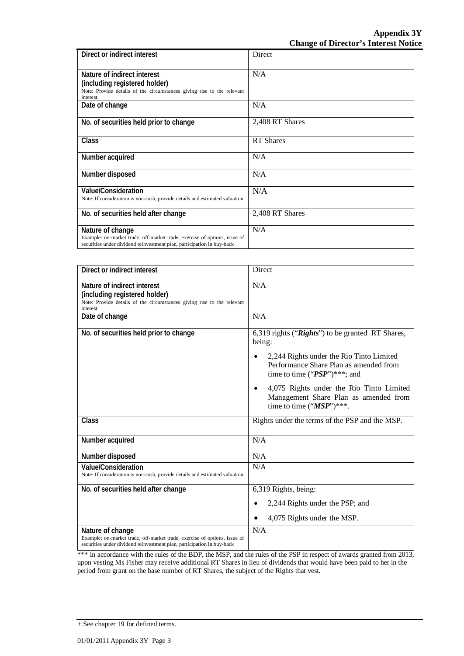| Direct or indirect interest                                                                                                                                             | Direct           |
|-------------------------------------------------------------------------------------------------------------------------------------------------------------------------|------------------|
| Nature of indirect interest<br>(including registered holder)<br>Note: Provide details of the circumstances giving rise to the relevant<br>interest.                     | N/A              |
| Date of change                                                                                                                                                          | N/A              |
| No. of securities held prior to change                                                                                                                                  | 2,408 RT Shares  |
| Class                                                                                                                                                                   | <b>RT</b> Shares |
| Number acquired                                                                                                                                                         | N/A              |
| Number disposed                                                                                                                                                         | N/A              |
| Value/Consideration<br>Note: If consideration is non-cash, provide details and estimated valuation                                                                      | N/A              |
| No. of securities held after change                                                                                                                                     | 2,408 RT Shares  |
| Nature of change<br>Example: on-market trade, off-market trade, exercise of options, issue of<br>securities under dividend reinvestment plan, participation in buy-back | N/A              |

| Direct or indirect interest                                                 | Direct                                           |
|-----------------------------------------------------------------------------|--------------------------------------------------|
| Nature of indirect interest                                                 | N/A                                              |
| (including registered holder)                                               |                                                  |
| Note: Provide details of the circumstances giving rise to the relevant      |                                                  |
| interest.                                                                   |                                                  |
| Date of change                                                              | N/A                                              |
| No. of securities held prior to change                                      | 6,319 rights ("Rights") to be granted RT Shares, |
|                                                                             | being:                                           |
|                                                                             |                                                  |
|                                                                             | 2,244 Rights under the Rio Tinto Limited         |
|                                                                             | Performance Share Plan as amended from           |
|                                                                             | time to time (" $PSP$ ")***; and                 |
|                                                                             |                                                  |
|                                                                             | 4,075 Rights under the Rio Tinto Limited<br>٠    |
|                                                                             | Management Share Plan as amended from            |
|                                                                             | time to time (" $MSP$ ")***.                     |
|                                                                             |                                                  |
| Class                                                                       | Rights under the terms of the PSP and the MSP.   |
|                                                                             |                                                  |
| Number acquired                                                             | N/A                                              |
|                                                                             |                                                  |
| Number disposed                                                             | N/A                                              |
| <b>Value/Consideration</b>                                                  | N/A                                              |
| Note: If consideration is non-cash, provide details and estimated valuation |                                                  |
| No. of securities held after change                                         | 6,319 Rights, being:                             |
|                                                                             |                                                  |
|                                                                             | 2,244 Rights under the PSP; and                  |
|                                                                             | 4,075 Rights under the MSP.                      |
| Nature of change                                                            | N/A                                              |
| Example: on-market trade, off-market trade, exercise of options, issue of   |                                                  |
| securities under dividend reinvestment plan, participation in buy-back      |                                                  |

\*\*\* In accordance with the rules of the BDP, the MSP, and the rules of the PSP in respect of awards granted from 2013, upon vesting Ms Fisher may receive additional RT Shares in lieu of dividends that would have been paid to her in the period from grant on the base number of RT Shares, the subject of the Rights that vest.

<sup>+</sup> See chapter 19 for defined terms.